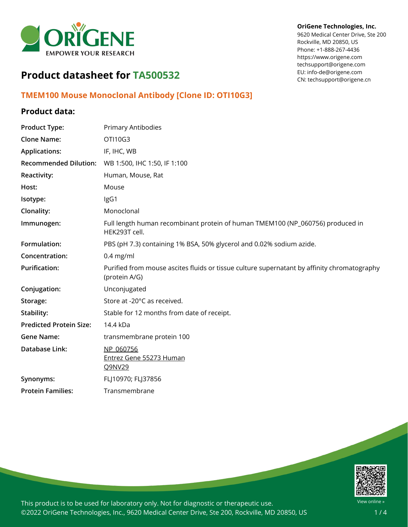

#### **OriGene Technologies, Inc.**

9620 Medical Center Drive, Ste 200 Rockville, MD 20850, US Phone: +1-888-267-4436 https://www.origene.com techsupport@origene.com EU: info-de@origene.com CN: techsupport@origene.cn

# **Product datasheet for TA500532**

## **TMEM100 Mouse Monoclonal Antibody [Clone ID: OTI10G3]**

## **Product data:**

| <b>Product Type:</b>           | <b>Primary Antibodies</b>                                                                                    |
|--------------------------------|--------------------------------------------------------------------------------------------------------------|
| <b>Clone Name:</b>             | OTI10G3                                                                                                      |
| <b>Applications:</b>           | IF, IHC, WB                                                                                                  |
| <b>Recommended Dilution:</b>   | WB 1:500, IHC 1:50, IF 1:100                                                                                 |
| Reactivity:                    | Human, Mouse, Rat                                                                                            |
| Host:                          | Mouse                                                                                                        |
| Isotype:                       | IgG1                                                                                                         |
| Clonality:                     | Monoclonal                                                                                                   |
| Immunogen:                     | Full length human recombinant protein of human TMEM100 (NP_060756) produced in<br>HEK293T cell.              |
| Formulation:                   | PBS (pH 7.3) containing 1% BSA, 50% glycerol and 0.02% sodium azide.                                         |
| Concentration:                 | $0.4$ mg/ml                                                                                                  |
| <b>Purification:</b>           | Purified from mouse ascites fluids or tissue culture supernatant by affinity chromatography<br>(protein A/G) |
| Conjugation:                   | Unconjugated                                                                                                 |
| Storage:                       | Store at -20°C as received.                                                                                  |
| Stability:                     | Stable for 12 months from date of receipt.                                                                   |
| <b>Predicted Protein Size:</b> | 14.4 kDa                                                                                                     |
| <b>Gene Name:</b>              | transmembrane protein 100                                                                                    |
| Database Link:                 | NP 060756<br>Entrez Gene 55273 Human<br>Q9NV29                                                               |
| Synonyms:                      | FLJ10970; FLJ37856                                                                                           |
| <b>Protein Families:</b>       | Transmembrane                                                                                                |



This product is to be used for laboratory only. Not for diagnostic or therapeutic use. ©2022 OriGene Technologies, Inc., 9620 Medical Center Drive, Ste 200, Rockville, MD 20850, US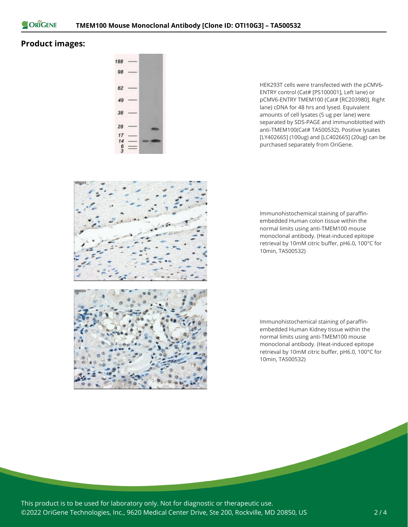

### **Product images:**



HEK293T cells were transfected with the pCMV6- ENTRY control (Cat# [PS100001], Left lane) or pCMV6-ENTRY TMEM100 (Cat# [RC203980], Right lane) cDNA for 48 hrs and lysed. Equivalent amounts of cell lysates (5 ug per lane) were separated by SDS-PAGE and immunoblotted with anti-TMEM100(Cat# TA500532). Positive lysates [LY402665] (100ug) and [LC402665] (20ug) can be purchased separately from OriGene.



Immunohistochemical staining of paraffinembedded Human colon tissue within the normal limits using anti-TMEM100 mouse monoclonal antibody. (Heat-induced epitope retrieval by 10mM citric buffer, pH6.0, 100°C for 10min, TA500532)

Immunohistochemical staining of paraffinembedded Human Kidney tissue within the normal limits using anti-TMEM100 mouse monoclonal antibody. (Heat-induced epitope retrieval by 10mM citric buffer, pH6.0, 100°C for 10min, TA500532)

This product is to be used for laboratory only. Not for diagnostic or therapeutic use. ©2022 OriGene Technologies, Inc., 9620 Medical Center Drive, Ste 200, Rockville, MD 20850, US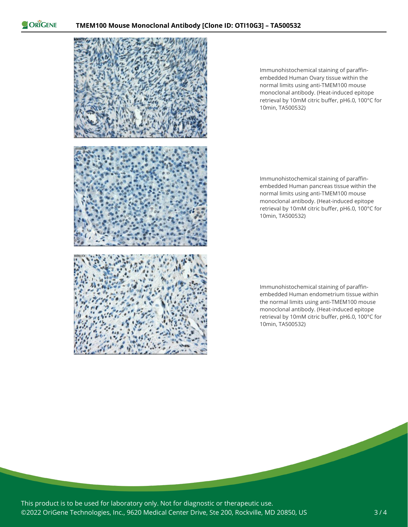ORIGENE



Immunohistochemical staining of paraffinembedded Human Ovary tissue within the normal limits using anti-TMEM100 mouse monoclonal antibody. (Heat-induced epitope retrieval by 10mM citric buffer, pH6.0, 100°C for 10min, TA500532)

Immunohistochemical staining of paraffinembedded Human pancreas tissue within the normal limits using anti-TMEM100 mouse monoclonal antibody. (Heat-induced epitope retrieval by 10mM citric buffer, pH6.0, 100°C for 10min, TA500532)

Immunohistochemical staining of paraffinembedded Human endometrium tissue within the normal limits using anti-TMEM100 mouse monoclonal antibody. (Heat-induced epitope retrieval by 10mM citric buffer, pH6.0, 100°C for 10min, TA500532)

This product is to be used for laboratory only. Not for diagnostic or therapeutic use. ©2022 OriGene Technologies, Inc., 9620 Medical Center Drive, Ste 200, Rockville, MD 20850, US